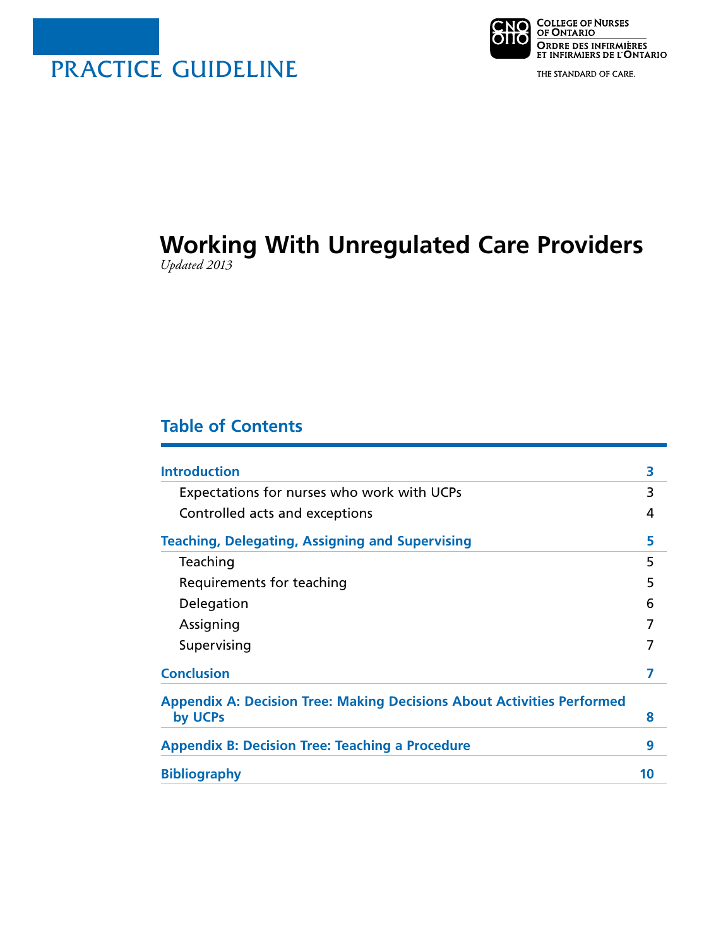



THE STANDARD OF CARE.

# **Working With Unregulated Care Providers**  *Updated 2013*

# **Table of Contents**

| <b>Introduction</b>                                                           | 3  |
|-------------------------------------------------------------------------------|----|
| Expectations for nurses who work with UCPs                                    | 3  |
| Controlled acts and exceptions                                                | 4  |
| <b>Teaching, Delegating, Assigning and Supervising</b>                        | 5  |
| Teaching                                                                      | 5  |
| Requirements for teaching                                                     | 5  |
| Delegation                                                                    | 6  |
| Assigning                                                                     |    |
| Supervising                                                                   |    |
| <b>Conclusion</b>                                                             | 7  |
| <b>Appendix A: Decision Tree: Making Decisions About Activities Performed</b> |    |
| by UCPs                                                                       | 8  |
| <b>Appendix B: Decision Tree: Teaching a Procedure</b>                        | 9  |
| <b>Bibliography</b>                                                           | 10 |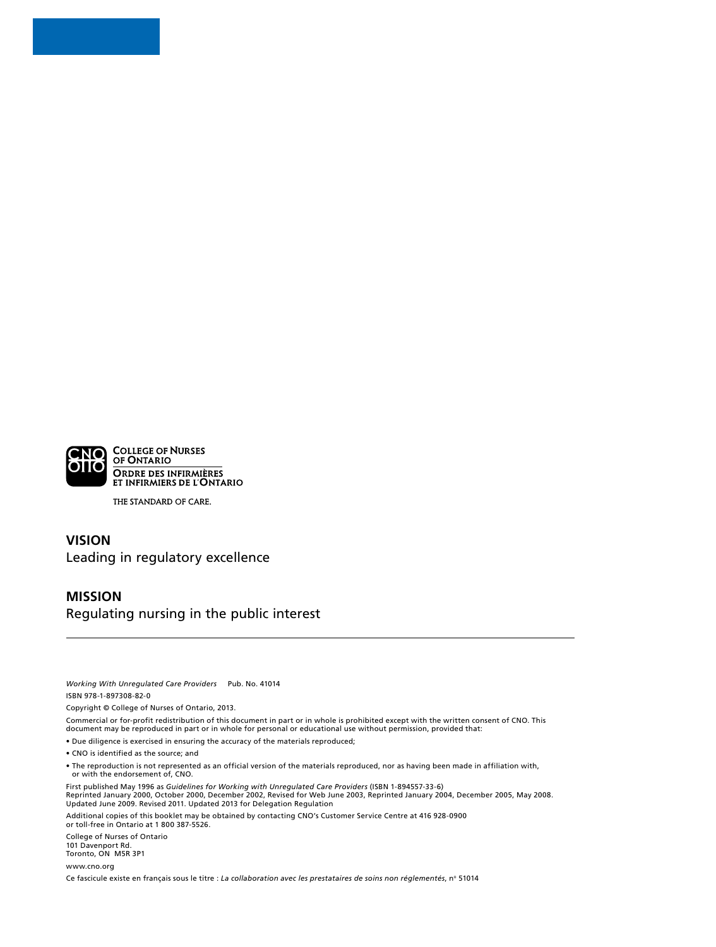

THE STANDARD OF CARE.

### **VISION** Leading in regulatory excellence

#### **MISSION** Regulating nursing in the public interest

*Working With Unregulated Care Providers* Pub. No. 41014 ISBN 978-1-897308-82-0

Copyright © College of Nurses of Ontario, 2013.

Commercial or for-profit redistribution of this document in part or in whole is prohibited except with the written consent of CNO. This document may be reproduced in part or in whole for personal or educational use without permission, provided that:

• Due diligence is exercised in ensuring the accuracy of the materials reproduced;

- CNO is identified as the source; and
- The reproduction is not represented as an official version of the materials reproduced, nor as having been made in affiliation with, or with the endorsement of, CNO.

First published May 1996 as Guidelines for Working with Unregulated Care Providers (ISBN 1-894557-33-6)<br>Reprinted January 2000, October 2000, December 2002, Revised for Web June 2003, Reprinted January 2004, December 2005, Updated June 2009. Revised 2011. Updated 2013 for Delegation Regulation

Additional copies of this booklet may be obtained by contacting CNO's Customer Service Centre at 416 928-0900 or toll-free in Ontario at 1 800 387-5526.

College of Nurses of Ontario 101 Davenport Rd. Toronto, ON M5R 3P1

[www.cno.org](http://www.cno.org)

Ce fascicule existe en français sous le titre : *La collaboration avec les prestataires de soins non réglementés*, nº 51014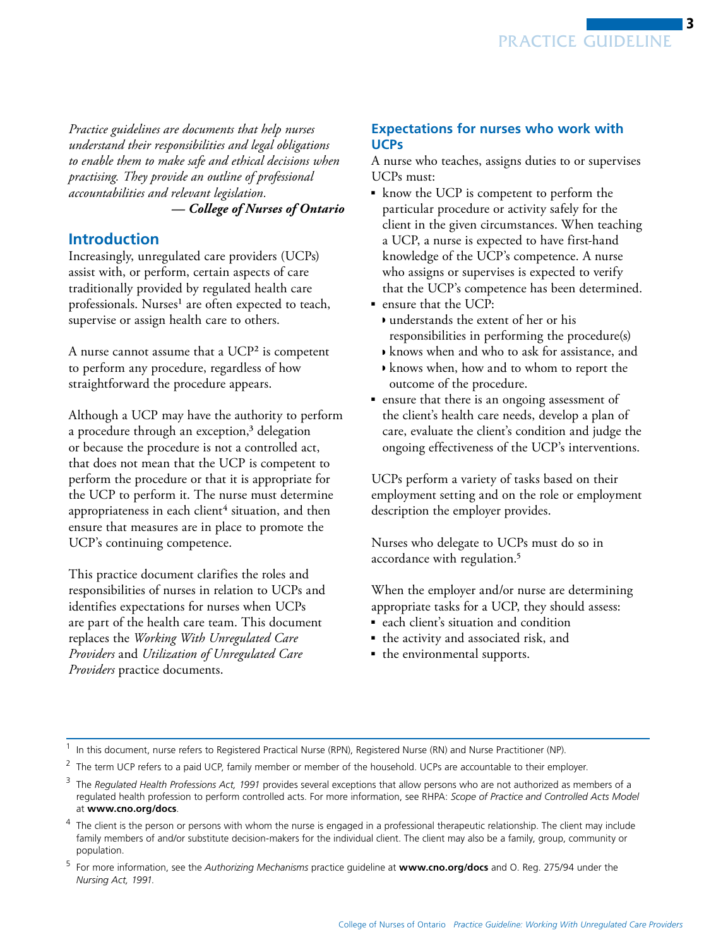

<span id="page-2-0"></span>*Practice guidelines are documents that help nurses understand their responsibilities and legal obligations to enable them to make safe and ethical decisions when practising. They provide an outline of professional accountabilities and relevant legislation.* 

#### *— College of Nurses of Ontario*

#### **Introduction**

Increasingly, unregulated care providers (UCPs) assist with, or perform, certain aspects of care traditionally provided by regulated health care professionals. Nurses<sup>1</sup> are often expected to teach, supervise or assign health care to others.

A nurse cannot assume that a UCP2 is competent to perform any procedure, regardless of how straightforward the procedure appears.

Although a UCP may have the authority to perform a procedure through an exception, $3$  delegation or because the procedure is not a controlled act, that does not mean that the UCP is competent to perform the procedure or that it is appropriate for the UCP to perform it. The nurse must determine appropriateness in each client<sup>4</sup> situation, and then ensure that measures are in place to promote the UCP's continuing competence.

This practice document clarifies the roles and responsibilities of nurses in relation to UCPs and identifies expectations for nurses when UCPs are part of the health care team. This document replaces the *Working With Unregulated Care Providers* and *Utilization of Unregulated Care Providers* practice documents.

#### **Expectations for nurses who work with UCPs**

A nurse who teaches, assigns duties to or supervises UCPs must:

- know the UCP is competent to perform the particular procedure or activity safely for the client in the given circumstances. When teaching a UCP, a nurse is expected to have first-hand knowledge of the UCP's competence. A nurse who assigns or supervises is expected to verify that the UCP's competence has been determined.
- ensure that the UCP:
	- ◗ understands the extent of her or his responsibilities in performing the procedure(s)
	- ◗ knows when and who to ask for assistance, and
	- ◗ knows when, how and to whom to report the outcome of the procedure.
- ensure that there is an ongoing assessment of the client's health care needs, develop a plan of care, evaluate the client's condition and judge the ongoing effectiveness of the UCP's interventions.

UCPs perform a variety of tasks based on their employment setting and on the role or employment description the employer provides.

Nurses who delegate to UCPs must do so in accordance with regulation.<sup>5</sup>

When the employer and/or nurse are determining appropriate tasks for a UCP, they should assess:

- each client's situation and condition
- the activity and associated risk, and
- ■ the environmental supports.

 $1$  In this document, nurse refers to Registered Practical Nurse (RPN), Registered Nurse (RN) and Nurse Practitioner (NP).

 $^2$  The term UCP refers to a paid UCP, family member or member of the household. UCPs are accountable to their employer.

<sup>&</sup>lt;sup>3</sup> The *Regulated Health Professions Act, 1991* provides several exceptions that allow persons who are not authorized as members of a regulated health profession to perform controlled acts. For more information, see RHPA: *Scope of Practice and Controlled Acts Model*  at **www.cno.org/docs**.

 $4\,$  The client is the person or persons with whom the nurse is engaged in a professional therapeutic relationship. The client may include family members of and/or substitute decision-makers for the individual client. The client may also be a family, group, community or population.

<sup>&</sup>lt;sup>5</sup> For more information, see the *Authorizing Mechanisms* practice guideline at [www.cno.org/docs](http://www.cno.org/docs) and O. Reg. 275/94 under the *Nursing Act, 1991*.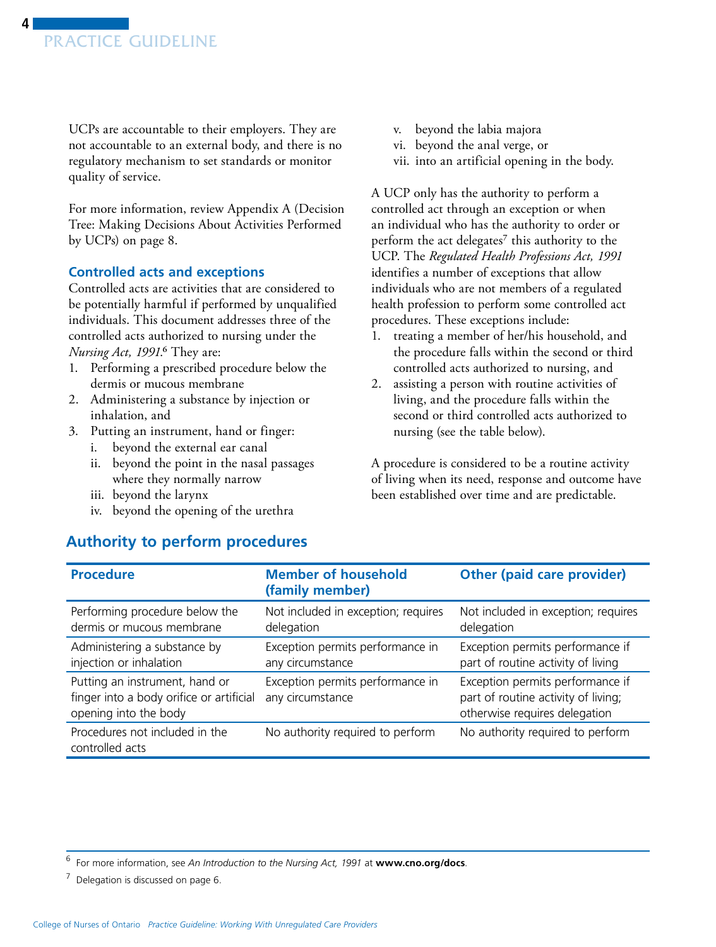<span id="page-3-0"></span>

UCPs are accountable to their employers. They are not accountable to an external body, and there is no regulatory mechanism to set standards or monitor quality of service.

For more information, review Appendix A (Decision Tree: Making Decisions About Activities Performed by UCPs) on page 8.

#### **Controlled acts and exceptions**

Controlled acts are activities that are considered to be potentially harmful if performed by unqualified individuals. This document addresses three of the controlled acts authorized to nursing under the *Nursing Act, 1991*.6 They are:

- 1. Performing a prescribed procedure below the dermis or mucous membrane
- 2. Administering a substance by injection or inhalation, and
- 3. Putting an instrument, hand or finger:
	- i. beyond the external ear canal
	- ii. beyond the point in the nasal passages where they normally narrow
	- iii. beyond the larynx
	- iv. beyond the opening of the urethra

### **Authority to perform procedures**

- v. beyond the labia majora
- vi. beyond the anal verge, or
- vii. into an artificial opening in the body.

A UCP only has the authority to perform a controlled act through an exception or when an individual who has the authority to order or perform the act delegates<sup>7</sup> this authority to the UCP. The *Regulated Health Professions Act, 1991*  identifies a number of exceptions that allow individuals who are not members of a regulated health profession to perform some controlled act procedures. These exceptions include:

- 1. treating a member of her/his household, and the procedure falls within the second or third controlled acts authorized to nursing, and
- 2. assisting a person with routine activities of living, and the procedure falls within the second or third controlled acts authorized to nursing (see the table below).

A procedure is considered to be a routine activity of living when its need, response and outcome have been established over time and are predictable.

| <b>Procedure</b>                                                                                    | <b>Member of household</b><br>(family member)        | <b>Other (paid care provider)</b>                                                                        |
|-----------------------------------------------------------------------------------------------------|------------------------------------------------------|----------------------------------------------------------------------------------------------------------|
| Performing procedure below the<br>dermis or mucous membrane                                         | Not included in exception; requires<br>delegation    | Not included in exception; requires<br>delegation                                                        |
| Administering a substance by<br>injection or inhalation                                             | Exception permits performance in<br>any circumstance | Exception permits performance if<br>part of routine activity of living                                   |
| Putting an instrument, hand or<br>finger into a body orifice or artificial<br>opening into the body | Exception permits performance in<br>any circumstance | Exception permits performance if<br>part of routine activity of living;<br>otherwise requires delegation |
| Procedures not included in the<br>controlled acts                                                   | No authority required to perform                     | No authority required to perform                                                                         |

6 For more information, see *An Introduction to the Nursing Act, 1991* at **[www.cno.org/docs](http://www.cno.org/docs)**.

 $7$  Delegation is discussed on page 6.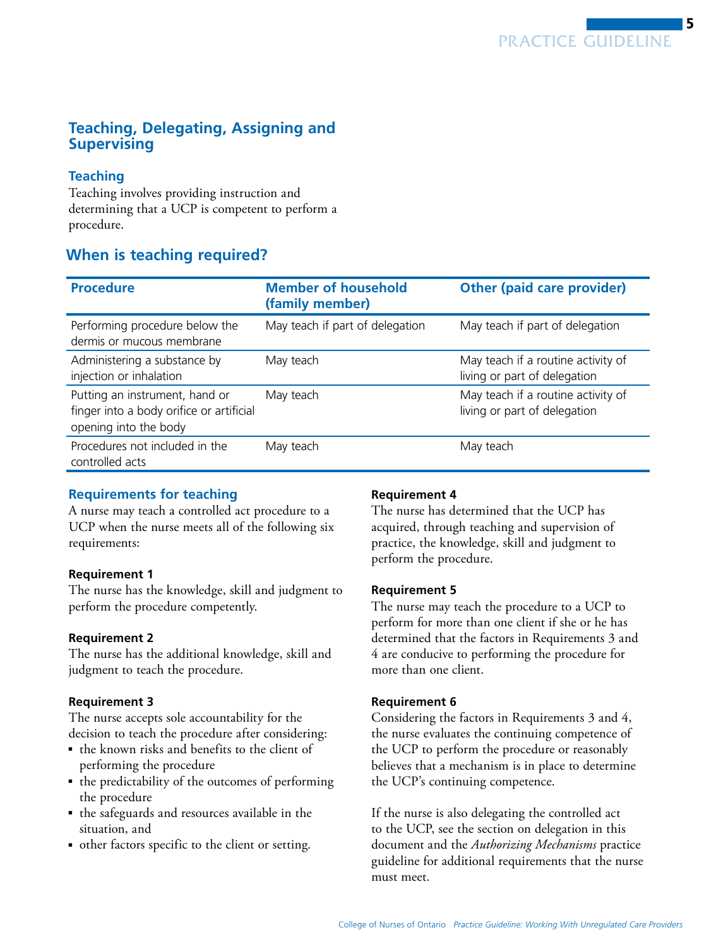## <span id="page-4-0"></span>**Teaching, Delegating, Assigning and Supervising**

### **Teaching**

Teaching involves providing instruction and determining that a UCP is competent to perform a procedure.

# **When is teaching required?**

| <b>Procedure</b>                                                                                    | <b>Member of household</b><br>(family member) | <b>Other (paid care provider)</b>                                  |
|-----------------------------------------------------------------------------------------------------|-----------------------------------------------|--------------------------------------------------------------------|
| Performing procedure below the<br>dermis or mucous membrane                                         | May teach if part of delegation               | May teach if part of delegation                                    |
| Administering a substance by<br>injection or inhalation                                             | May teach                                     | May teach if a routine activity of<br>living or part of delegation |
| Putting an instrument, hand or<br>finger into a body orifice or artificial<br>opening into the body | May teach                                     | May teach if a routine activity of<br>living or part of delegation |
| Procedures not included in the<br>controlled acts                                                   | May teach                                     | May teach                                                          |

### **Requirements for teaching**

A nurse may teach a controlled act procedure to a UCP when the nurse meets all of the following six requirements:

### **Requirement 1**

The nurse has the knowledge, skill and judgment to perform the procedure competently.

### **Requirement 2**

The nurse has the additional knowledge, skill and judgment to teach the procedure.

### **Requirement 3**

The nurse accepts sole accountability for the decision to teach the procedure after considering:

- the known risks and benefits to the client of performing the procedure
- the predictability of the outcomes of performing the procedure
- the safeguards and resources available in the situation, and
- other factors specific to the client or setting.

### **Requirement 4**

The nurse has determined that the UCP has acquired, through teaching and supervision of practice, the knowledge, skill and judgment to perform the procedure.

### **Requirement 5**

The nurse may teach the procedure to a UCP to perform for more than one client if she or he has determined that the factors in Requirements 3 and 4 are conducive to performing the procedure for more than one client.

### **Requirement 6**

Considering the factors in Requirements 3 and 4, the nurse evaluates the continuing competence of the UCP to perform the procedure or reasonably believes that a mechanism is in place to determine the UCP's continuing competence.

If the nurse is also delegating the controlled act to the UCP, see the section on delegation in this document and the *Authorizing Mechanisms* practice guideline for additional requirements that the nurse must meet.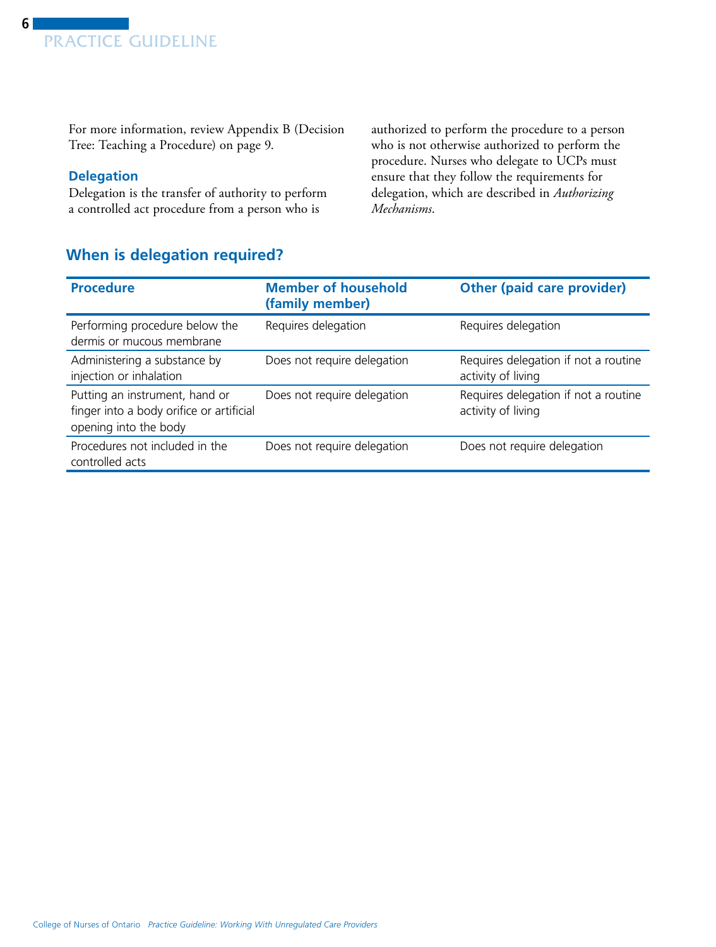<span id="page-5-0"></span>For more information, review Appendix B (Decision Tree: Teaching a Procedure) on page 9.

#### **Delegation**

Delegation is the transfer of authority to perform a controlled act procedure from a person who is

authorized to perform the procedure to a person who is not otherwise authorized to perform the procedure. Nurses who delegate to UCPs must ensure that they follow the requirements for delegation, which are described in *Authorizing Mechanisms*.

## **When is delegation required?**

| <b>Procedure</b>                                                                                    | <b>Member of household</b><br>(family member) | <b>Other (paid care provider)</b>                          |
|-----------------------------------------------------------------------------------------------------|-----------------------------------------------|------------------------------------------------------------|
| Performing procedure below the<br>dermis or mucous membrane                                         | Requires delegation                           | Requires delegation                                        |
| Administering a substance by<br>injection or inhalation                                             | Does not require delegation                   | Requires delegation if not a routine<br>activity of living |
| Putting an instrument, hand or<br>finger into a body orifice or artificial<br>opening into the body | Does not require delegation                   | Requires delegation if not a routine<br>activity of living |
| Procedures not included in the<br>controlled acts                                                   | Does not require delegation                   | Does not require delegation                                |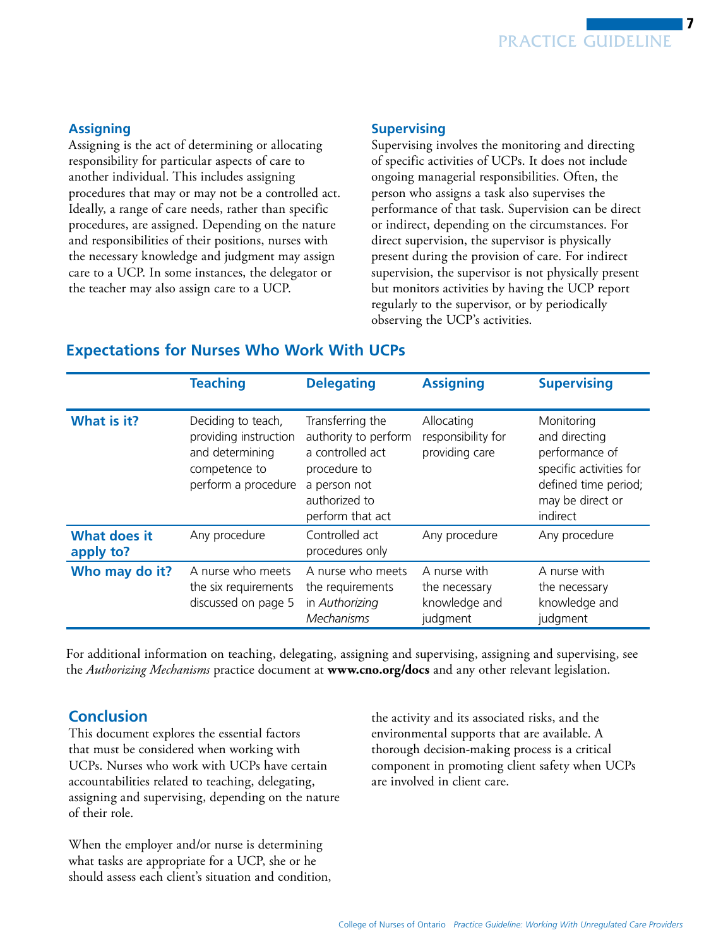### <span id="page-6-0"></span>**Assigning**

Assigning is the act of determining or allocating responsibility for particular aspects of care to another individual. This includes assigning procedures that may or may not be a controlled act. Ideally, a range of care needs, rather than specific procedures, are assigned. Depending on the nature and responsibilities of their positions, nurses with the necessary knowledge and judgment may assign care to a UCP. In some instances, the delegator or the teacher may also assign care to a UCP.

#### **Supervising**

Supervising involves the monitoring and directing of specific activities of UCPs. It does not include ongoing managerial responsibilities. Often, the person who assigns a task also supervises the performance of that task. Supervision can be direct or indirect, depending on the circumstances. For direct supervision, the supervisor is physically present during the provision of care. For indirect supervision, the supervisor is not physically present but monitors activities by having the UCP report regularly to the supervisor, or by periodically observing the UCP's activities.

|                                  | <b>Teaching</b>                                                                                        | <b>Delegating</b>                                                                                                                 | <b>Assigning</b>                                           | <b>Supervising</b>                                                                                                               |
|----------------------------------|--------------------------------------------------------------------------------------------------------|-----------------------------------------------------------------------------------------------------------------------------------|------------------------------------------------------------|----------------------------------------------------------------------------------------------------------------------------------|
| What is it?                      | Deciding to teach,<br>providing instruction<br>and determining<br>competence to<br>perform a procedure | Transferring the<br>authority to perform<br>a controlled act<br>procedure to<br>a person not<br>authorized to<br>perform that act | Allocating<br>responsibility for<br>providing care         | Monitoring<br>and directing<br>performance of<br>specific activities for<br>defined time period;<br>may be direct or<br>indirect |
| <b>What does it</b><br>apply to? | Any procedure                                                                                          | Controlled act<br>procedures only                                                                                                 | Any procedure                                              | Any procedure                                                                                                                    |
| Who may do it?                   | A nurse who meets<br>the six requirements<br>discussed on page 5                                       | A nurse who meets<br>the requirements<br>in Authorizing<br>Mechanisms                                                             | A nurse with<br>the necessary<br>knowledge and<br>judgment | A nurse with<br>the necessary<br>knowledge and<br>judgment                                                                       |

## **Expectations for Nurses Who Work With UCPs**

For additional information on teaching, delegating, assigning and supervising, assigning and supervising, see the *Authorizing Mechanisms* practice document at **www.cno.org/docs** and any other relevant legislation.

### **Conclusion**

This document explores the essential factors that must be considered when working with UCPs. Nurses who work with UCPs have certain accountabilities related to teaching, delegating, assigning and supervising, depending on the nature of their role.

When the employer and/or nurse is determining what tasks are appropriate for a UCP, she or he should assess each client's situation and condition, the activity and its associated risks, and the environmental supports that are available. A thorough decision-making process is a critical component in promoting client safety when UCPs are involved in client care.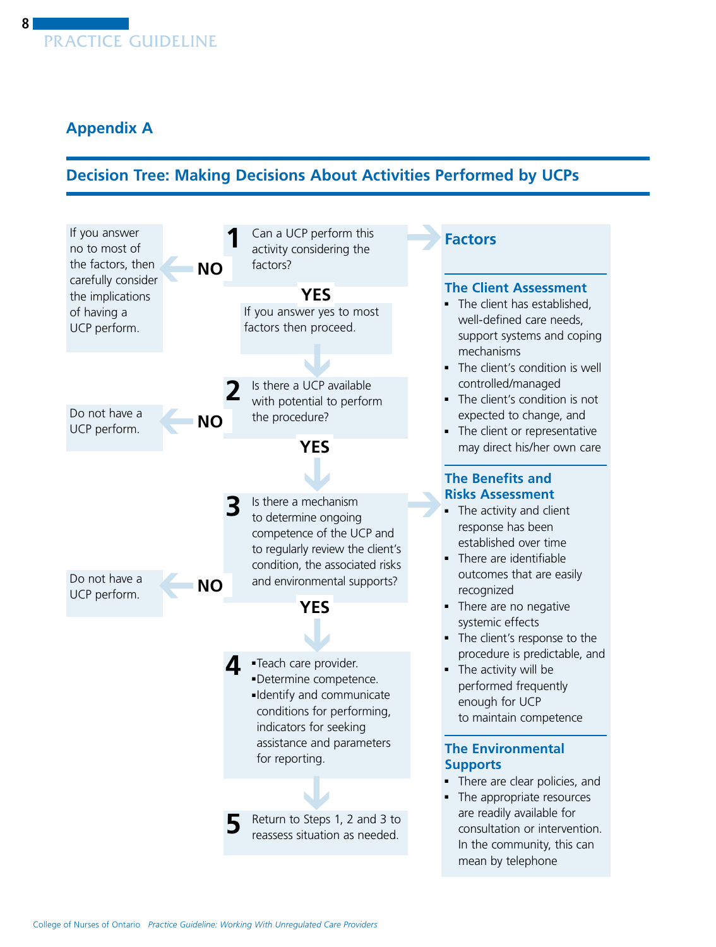# <span id="page-7-0"></span>**Appendix A**

# **Decision Tree: Making Decisions About Activities Performed by UCPs**

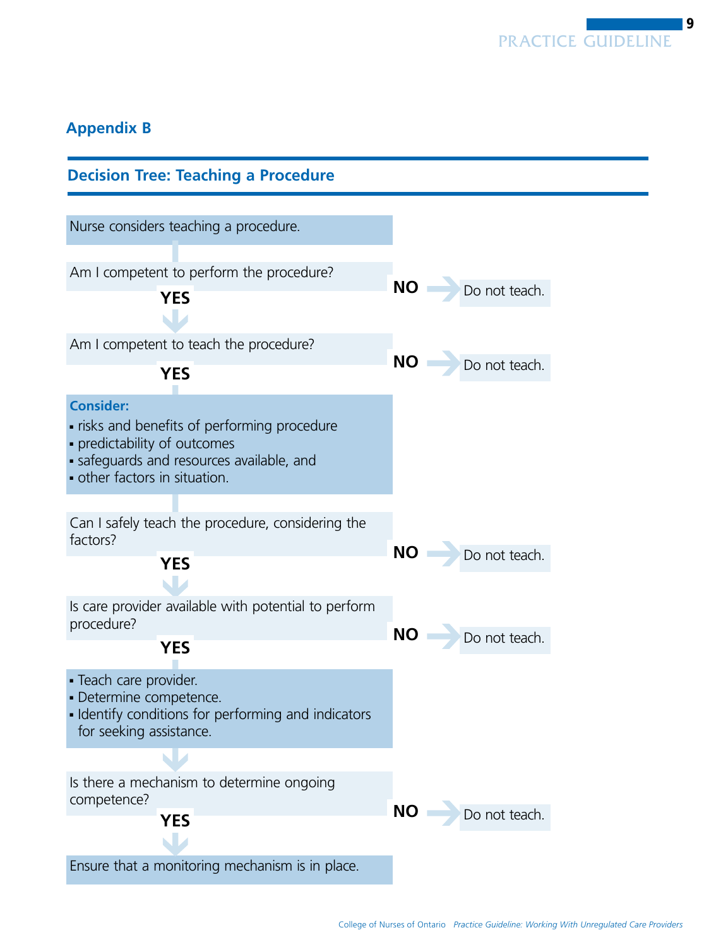

# <span id="page-8-0"></span>**Appendix B**

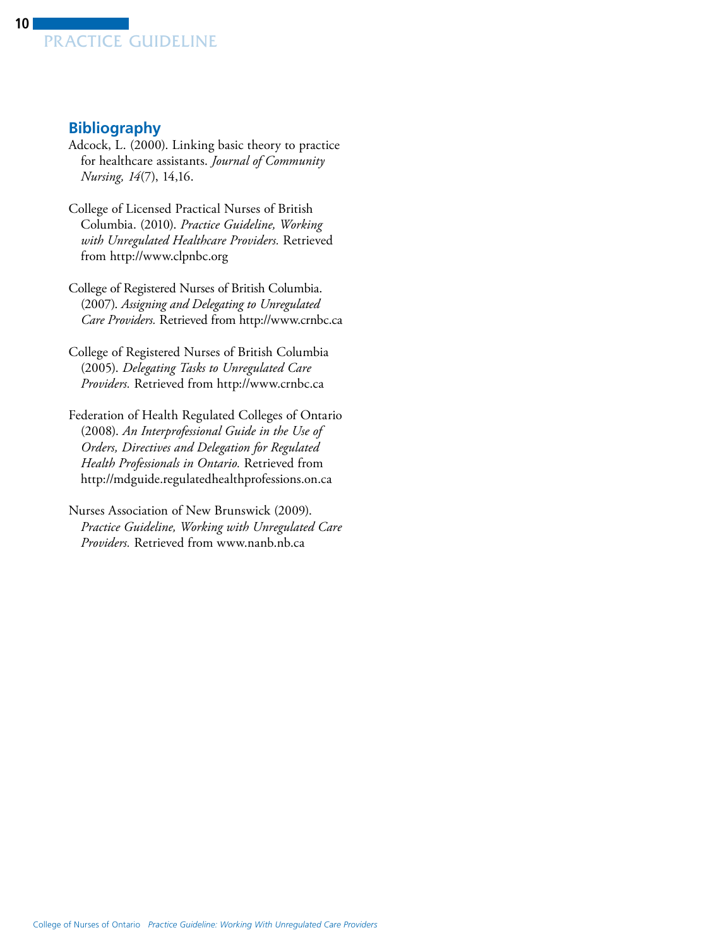<span id="page-9-0"></span>

### **Bibliography**

- Adcock, L. (2000). Linking basic theory to practice for healthcare assistants. *Journal of Community Nursing, 14*(7), 14,16.
- College of Licensed Practical Nurses of British Columbia. (2010). *Practice Guideline, Working with Unregulated Healthcare Providers.* Retrieved from http://www.clpnbc.org
- College of Registered Nurses of British Columbia. (2007). *Assigning and Delegating to Unregulated Care Providers.* Retrieved from http://www.crnbc.ca
- College of Registered Nurses of British Columbia (2005). *Delegating Tasks to Unregulated Care Providers.* Retrieved from http://www.crnbc.ca
- Federation of Health Regulated Colleges of Ontario (2008). *An Interprofessional Guide in the Use of Orders, Directives and Delegation for Regulated Health Professionals in Ontario.* Retrieved from http://mdguide.regulatedhealthprofessions.on.ca
- Nurses Association of New Brunswick (2009). *Practice Guideline, Working with Unregulated Care Providers.* Retrieved from www.nanb.nb.ca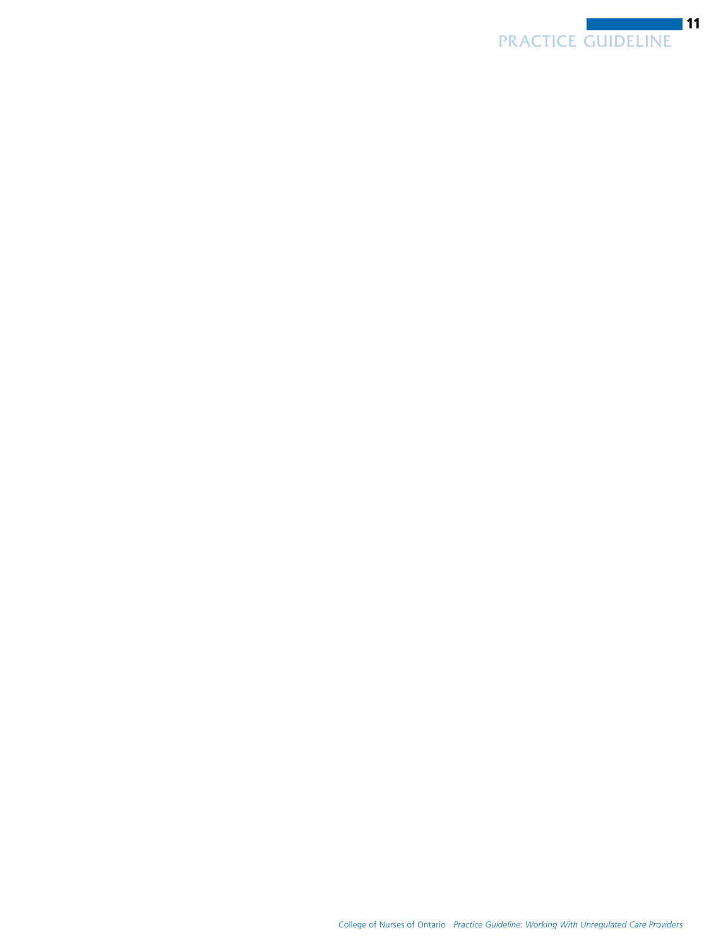